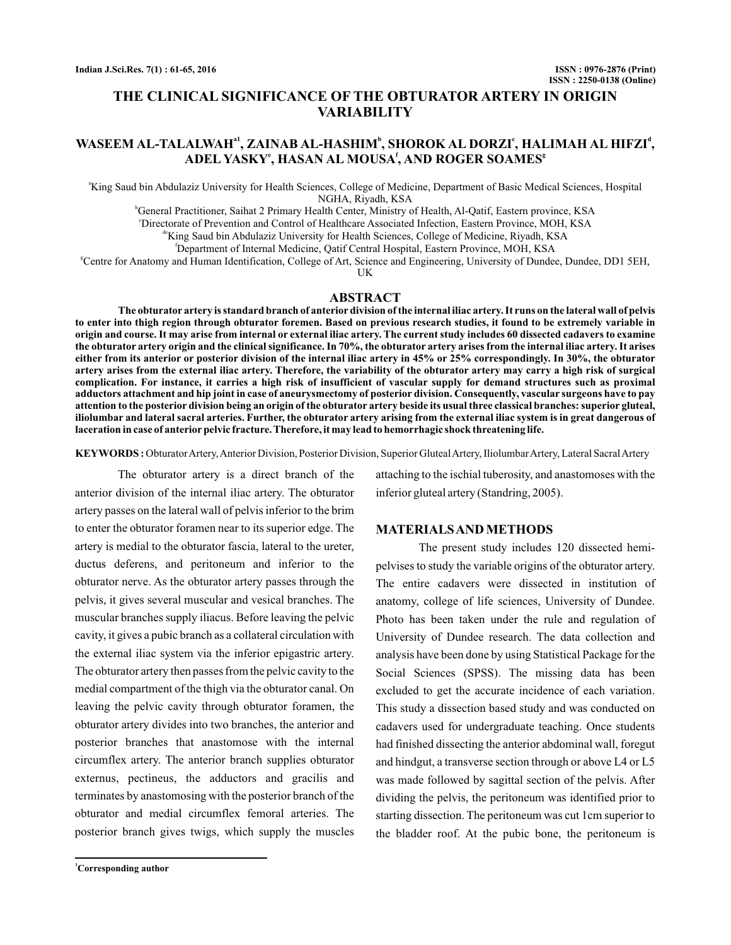# **THE CLINICAL SIGNIFICANCE OF THE OBTURATOR ARTERY IN ORIGIN VARIABILITY**

# WASEEM AL-TALALWAHª', ZAINAB AL-HASHIM<sup>ь</sup>, SHOROK AL DORZIʿ, HALIMAH AL HIFZI<sup>ª</sup>, **ADEL YASKY , HASAN AL MOUSA , AND ROGER SOAMES e f g**

a King Saud bin Abdulaziz University for Health Sciences, College of Medicine, Department of Basic Medical Sciences, Hospital NGHA, Riyadh, KSA

b General Practitioner, Saihat 2 Primary Health Center, Ministry of Health, Al-Qatif, Eastern province, KSA c Directorate of Prevention and Control of Healthcare Associated Infection, Eastern Province, MOH, KSA de King Saud bin Abdulaziz University for Health Sciences, College of Medicine, Riyadh, KSA f Department of Internal Medicine, Qatif Central Hospital, Eastern Province, MOH, KSA

g Centre for Anatomy and Human Identification, College of Art, Science and Engineering, University of Dundee, Dundee, DD1 5EH, UK

# **ABSTRACT**

**The obturator artery is standard branch of anterior division of the internal iliac artery. It runs on the lateral wall of pelvis to enter into thigh region through obturator foremen. Based on previous research studies, it found to be extremely variable in origin and course. It may arise from internal or external iliac artery. The current study includes 60 dissected cadavers to examine the obturator artery origin and the clinical significance. In 70%, the obturator artery arises from the internal iliac artery. It arises either from its anterior or posterior division of the internal iliac artery in 45% or 25% correspondingly. In 30%, the obturator artery arises from the external iliac artery. Therefore, the variability of the obturator artery may carry a high risk of surgical complication. For instance, it carries a high risk of insufficient of vascular supply for demand structures such as proximal adductors attachment and hip joint in case of aneurysmectomy of posterior division. Consequently, vascular surgeons have to pay attention to the posterior division being an origin of the obturator artery beside its usual three classical branches: superior gluteal, iliolumbar and lateral sacral arteries. Further, the obturator artery arising from the external iliac system is in great dangerous of laceration in case of anterior pelvic fracture. Therefore, it may lead to hemorrhagic shock threatening life.**

**KEYWORDS :** Obturator Artery, Anterior Division, Posterior Division, Superior Gluteal Artery, Iliolumbar Artery, Lateral Sacral Artery

The obturator artery is a direct branch of the anterior division of the internal iliac artery. The obturator artery passes on the lateral wall of pelvis inferior to the brim to enter the obturator foramen near to its superior edge. The artery is medial to the obturator fascia, lateral to the ureter, ductus deferens, and peritoneum and inferior to the obturator nerve. As the obturator artery passes through the pelvis, it gives several muscular and vesical branches. The muscular branches supply iliacus. Before leaving the pelvic cavity, it gives a pubic branch as a collateral circulation with the external iliac system via the inferior epigastric artery. The obturator artery then passes from the pelvic cavity to the medial compartment of the thigh via the obturator canal. On leaving the pelvic cavity through obturator foramen, the obturator artery divides into two branches, the anterior and posterior branches that anastomose with the internal circumflex artery. The anterior branch supplies obturator externus, pectineus, the adductors and gracilis and terminates by anastomosing with the posterior branch of the obturator and medial circumflex femoral arteries. The posterior branch gives twigs, which supply the muscles

**<sup>1</sup>Corresponding author**

attaching to the ischial tuberosity, and anastomoses with the inferior gluteal artery (Standring, 2005).

#### **MATERIALSAND METHODS**

The present study includes 120 dissected hemipelvises to study the variable origins of the obturator artery. The entire cadavers were dissected in institution of anatomy, college of life sciences, University of Dundee. Photo has been taken under the rule and regulation of University of Dundee research. The data collection and analysis have been done by using Statistical Package for the Social Sciences (SPSS). The missing data has been excluded to get the accurate incidence of each variation. This study a dissection based study and was conducted on cadavers used for undergraduate teaching. Once students had finished dissecting the anterior abdominal wall, foregut and hindgut, a transverse section through or above L4 or L5 was made followed by sagittal section of the pelvis. After dividing the pelvis, the peritoneum was identified prior to starting dissection. The peritoneum was cut 1cm superior to the bladder roof. At the pubic bone, the peritoneum is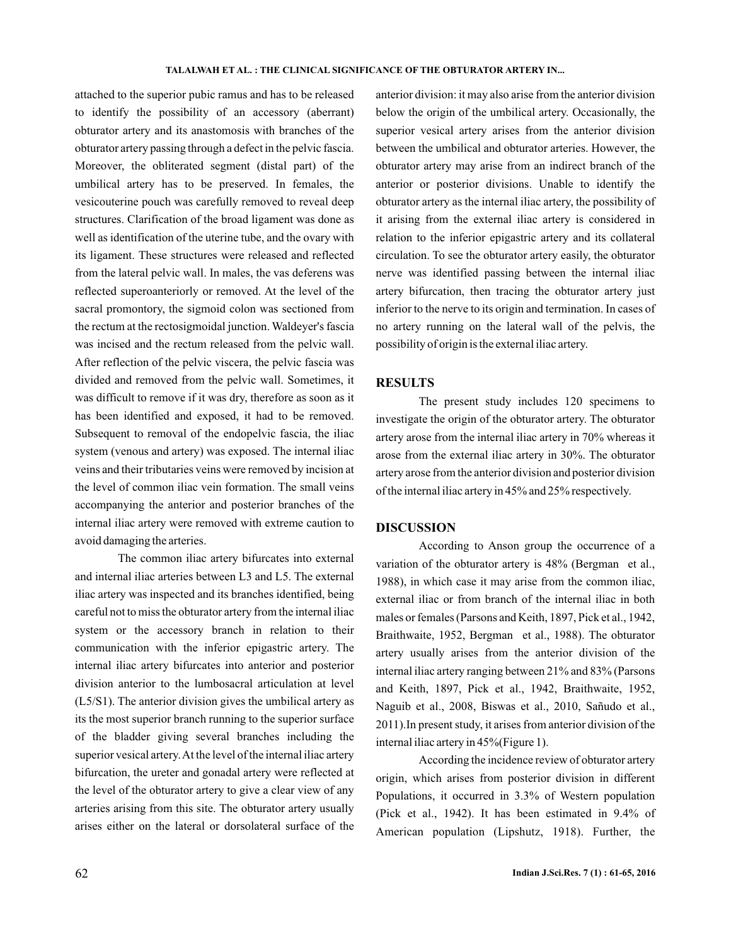attached to the superior pubic ramus and has to be released to identify the possibility of an accessory (aberrant) obturator artery and its anastomosis with branches of the obturator artery passing through a defect in the pelvic fascia. Moreover, the obliterated segment (distal part) of the umbilical artery has to be preserved. In females, the vesicouterine pouch was carefully removed to reveal deep structures. Clarification of the broad ligament was done as well as identification of the uterine tube, and the ovary with its ligament. These structures were released and reflected from the lateral pelvic wall. In males, the vas deferens was reflected superoanteriorly or removed. At the level of the sacral promontory, the sigmoid colon was sectioned from the rectum at the rectosigmoidal junction. Waldeyer's fascia was incised and the rectum released from the pelvic wall. After reflection of the pelvic viscera, the pelvic fascia was divided and removed from the pelvic wall. Sometimes, it was difficult to remove if it was dry, therefore as soon as it has been identified and exposed, it had to be removed. Subsequent to removal of the endopelvic fascia, the iliac system (venous and artery) was exposed. The internal iliac veins and their tributaries veins were removed by incision at the level of common iliac vein formation. The small veins accompanying the anterior and posterior branches of the internal iliac artery were removed with extreme caution to avoid damaging the arteries.

The common iliac artery bifurcates into external and internal iliac arteries between L3 and L5. The external iliac artery was inspected and its branches identified, being careful not to miss the obturator artery from the internal iliac system or the accessory branch in relation to their communication with the inferior epigastric artery. The internal iliac artery bifurcates into anterior and posterior division anterior to the lumbosacral articulation at level (L5/S1). The anterior division gives the umbilical artery as its the most superior branch running to the superior surface of the bladder giving several branches including the superior vesical artery.At the level of the internal iliac artery bifurcation, the ureter and gonadal artery were reflected at the level of the obturator artery to give a clear view of any arteries arising from this site. The obturator artery usually arises either on the lateral or dorsolateral surface of the anterior division: it may also arise from the anterior division below the origin of the umbilical artery. Occasionally, the superior vesical artery arises from the anterior division between the umbilical and obturator arteries. However, the obturator artery may arise from an indirect branch of the anterior or posterior divisions. Unable to identify the obturator artery as the internal iliac artery, the possibility of it arising from the external iliac artery is considered in relation to the inferior epigastric artery and its collateral circulation. To see the obturator artery easily, the obturator nerve was identified passing between the internal iliac artery bifurcation, then tracing the obturator artery just inferior to the nerve to its origin and termination. In cases of no artery running on the lateral wall of the pelvis, the possibility of origin is the external iliac artery.

# **RESULTS**

The present study includes 120 specimens to investigate the origin of the obturator artery. The obturator artery arose from the internal iliac artery in 70% whereas it arose from the external iliac artery in 30%. The obturator artery arose from the anterior division and posterior division of the internal iliac artery in 45% and 25% respectively.

# **DISCUSSION**

According to Anson group the occurrence of a variation of the obturator artery is 48% (Bergman et al., 1988), in which case it may arise from the common iliac, external iliac or from branch of the internal iliac in both males or females (Parsons and Keith, 1897, Pick et al., 1942, Braithwaite, 1952, Bergman et al., 1988). The obturator artery usually arises from the anterior division of the internal iliac artery ranging between 21% and 83% (Parsons and Keith, 1897, Pick et al., 1942, Braithwaite, 1952, Naguib et al., 2008, Biswas et al., 2010, Sañudo et al., 2011).In present study, it arises from anterior division of the internal iliac artery in 45%(Figure 1).

According the incidence review of obturator artery origin, which arises from posterior division in different Populations, it occurred in 3.3% of Western population (Pick et al., 1942). It has been estimated in 9.4% of American population (Lipshutz, 1918). Further, the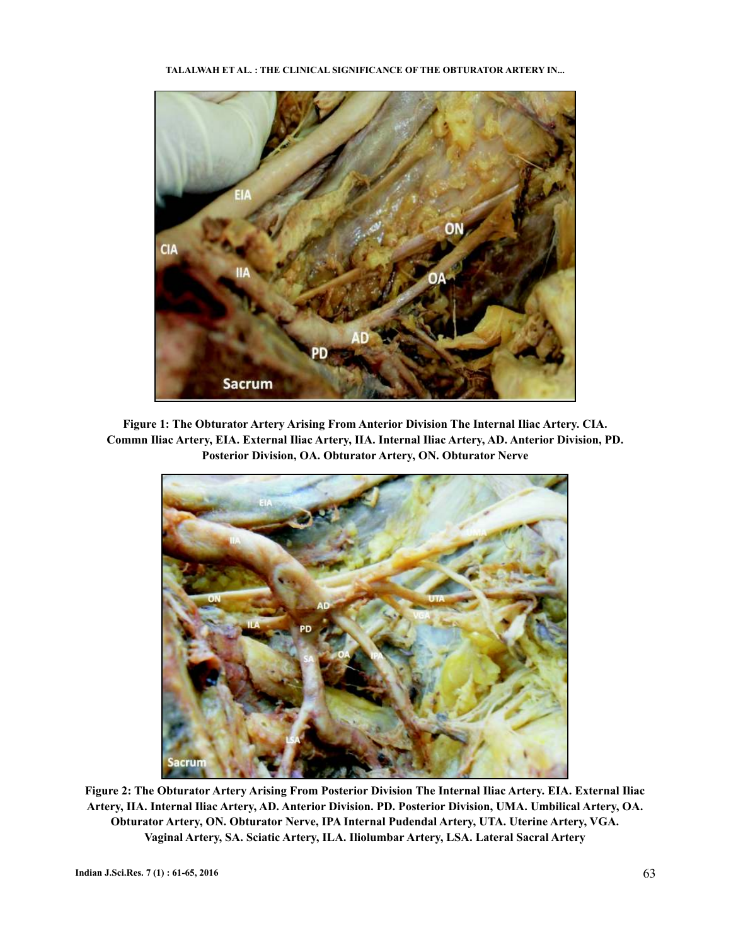

**Figure 1: The Obturator Artery Arising From Anterior Division The Internal Iliac Artery. CIA. Commn Iliac Artery, EIA. External Iliac Artery, IIA. Internal Iliac Artery, AD. Anterior Division, PD. Posterior Division, OA. Obturator Artery, ON. Obturator Nerve**



**Figure 2: The Obturator Artery Arising From Posterior Division The Internal Iliac Artery. EIA. External Iliac Artery, IIA. Internal Iliac Artery, AD. Anterior Division. PD. Posterior Division, UMA. Umbilical Artery, OA. Obturator Artery, ON. Obturator Nerve, IPA Internal Pudendal Artery, UTA. Uterine Artery, VGA. Vaginal Artery, SA. Sciatic Artery, ILA. Iliolumbar Artery, LSA. Lateral Sacral Artery**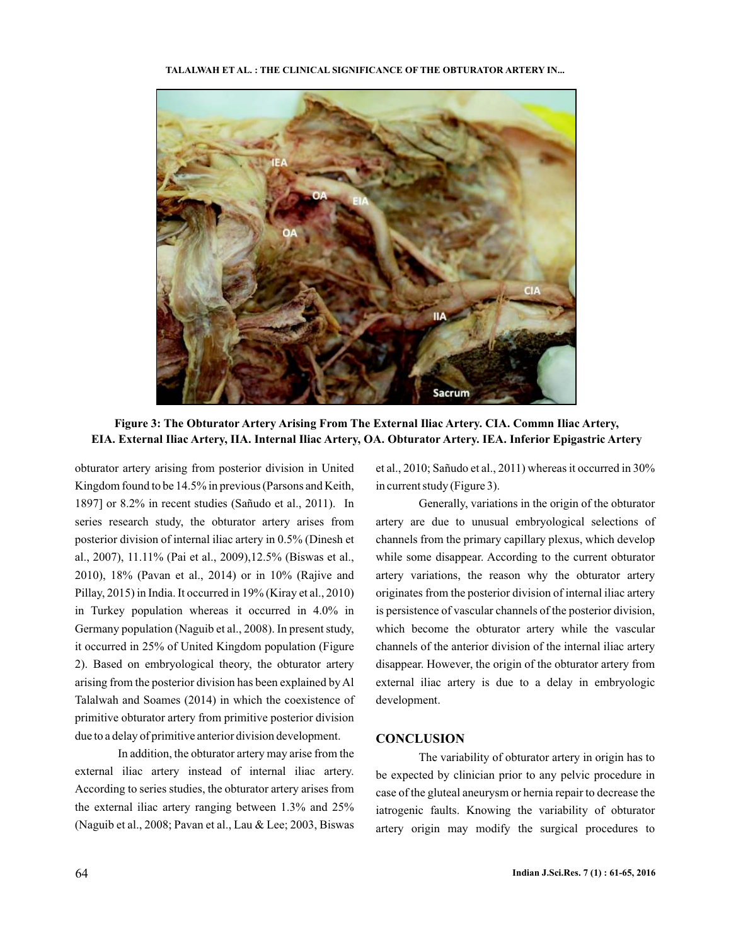#### **TALALWAH ET AL. : THE CLINICAL SIGNIFICANCE OF THE OBTURATOR ARTERY IN...**



**Figure 3: The Obturator Artery Arising From The External Iliac Artery. CIA. Commn Iliac Artery, EIA. External Iliac Artery, IIA. Internal Iliac Artery, OA. Obturator Artery. IEA. Inferior Epigastric Artery**

obturator artery arising from posterior division in United Kingdom found to be 14.5% in previous (Parsons and Keith, 1897] or 8.2% in recent studies (Sañudo et al., 2011). In series research study, the obturator artery arises from posterior division of internal iliac artery in 0.5% (Dinesh et al., 2007), 11.11% (Pai et al., 2009),12.5% (Biswas et al., 2010), 18% (Pavan et al., 2014) or in 10% (Rajive and Pillay, 2015) in India. It occurred in 19% (Kiray et al., 2010) in Turkey population whereas it occurred in 4.0% in Germany population (Naguib et al., 2008). In present study, it occurred in 25% of United Kingdom population (Figure 2). Based on embryological theory, the obturator artery arising from the posterior division has been explained by Al Talalwah and Soames (2014) in which the coexistence of primitive obturator artery from primitive posterior division due to a delay of primitive anterior division development.

In addition, the obturator artery may arise from the external iliac artery instead of internal iliac artery. According to series studies, the obturator artery arises from the external iliac artery ranging between 1.3% and 25% (Naguib et al., 2008; Pavan et al., Lau & Lee; 2003, Biswas

et al., 2010; Sañudo et al., 2011) whereas it occurred in 30% in current study (Figure 3).

Generally, variations in the origin of the obturator artery are due to unusual embryological selections of channels from the primary capillary plexus, which develop while some disappear. According to the current obturator artery variations, the reason why the obturator artery originates from the posterior division of internal iliac artery is persistence of vascular channels of the posterior division, which become the obturator artery while the vascular channels of the anterior division of the internal iliac artery disappear. However, the origin of the obturator artery from external iliac artery is due to a delay in embryologic development.

### **CONCLUSION**

The variability of obturator artery in origin has to be expected by clinician prior to any pelvic procedure in case of the gluteal aneurysm or hernia repair to decrease the iatrogenic faults. Knowing the variability of obturator artery origin may modify the surgical procedures to